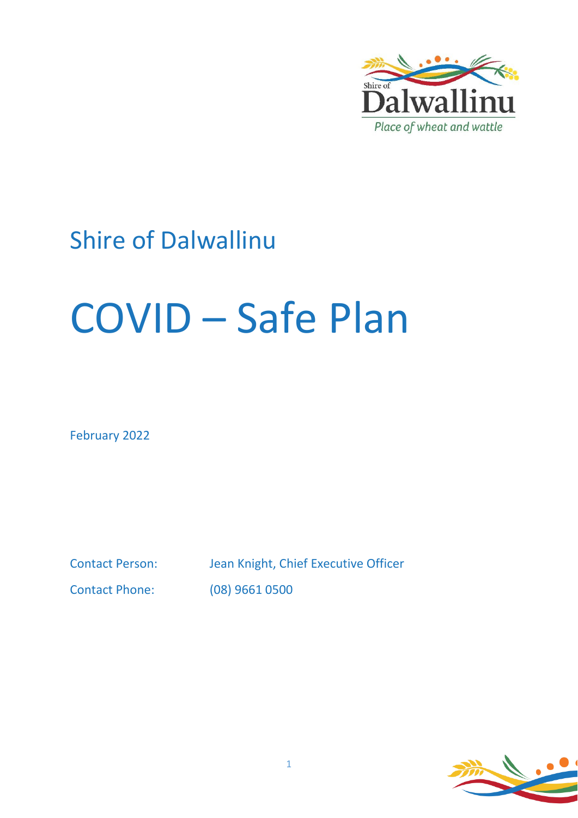

# Shire of Dalwallinu

# COVID – Safe Plan

February 2022

Contact Person: Jean Knight, Chief Executive Officer Contact Phone: (08) 9661 0500

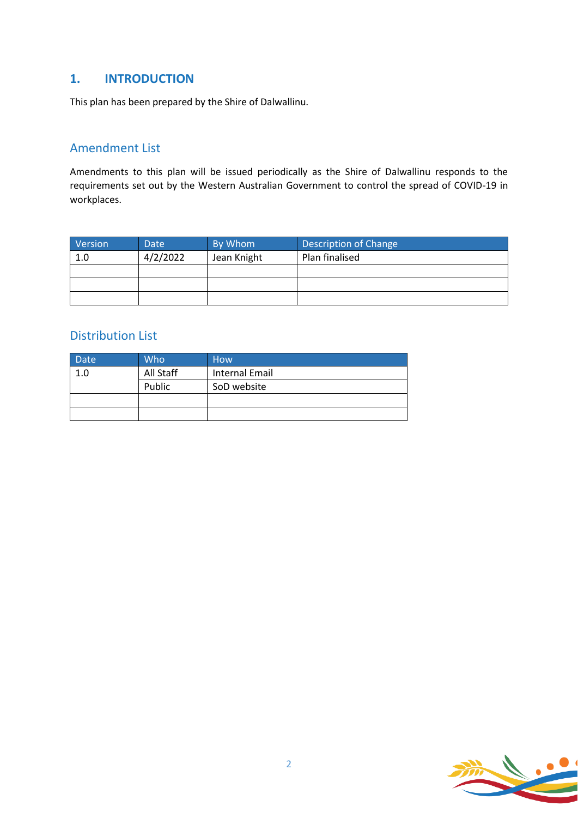# **1. INTRODUCTION**

This plan has been prepared by the Shire of Dalwallinu.

# Amendment List

Amendments to this plan will be issued periodically as the Shire of Dalwallinu responds to the requirements set out by the Western Australian Government to control the spread of COVID-19 in workplaces.

| Version | Date     | By Whom     | Description of Change |
|---------|----------|-------------|-----------------------|
| 1.0     | 4/2/2022 | Jean Knight | Plan finalised        |
|         |          |             |                       |
|         |          |             |                       |
|         |          |             |                       |

# Distribution List

| Date | Who       | <b>How</b>     |
|------|-----------|----------------|
| 1.0  | All Staff | Internal Email |
|      | Public    | SoD website    |
|      |           |                |
|      |           |                |

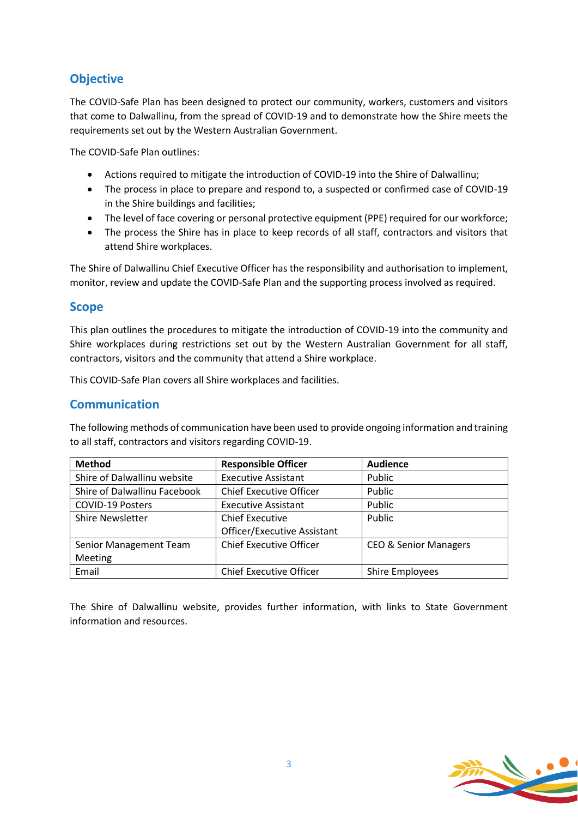# **Objective**

The COVID-Safe Plan has been designed to protect our community, workers, customers and visitors that come to Dalwallinu, from the spread of COVID-19 and to demonstrate how the Shire meets the requirements set out by the Western Australian Government.

The COVID-Safe Plan outlines:

- Actions required to mitigate the introduction of COVID-19 into the Shire of Dalwallinu;
- The process in place to prepare and respond to, a suspected or confirmed case of COVID-19 in the Shire buildings and facilities;
- The level of face covering or personal protective equipment (PPE) required for our workforce;
- The process the Shire has in place to keep records of all staff, contractors and visitors that attend Shire workplaces.

The Shire of Dalwallinu Chief Executive Officer has the responsibility and authorisation to implement, monitor, review and update the COVID-Safe Plan and the supporting process involved as required.

# **Scope**

This plan outlines the procedures to mitigate the introduction of COVID-19 into the community and Shire workplaces during restrictions set out by the Western Australian Government for all staff, contractors, visitors and the community that attend a Shire workplace.

This COVID-Safe Plan covers all Shire workplaces and facilities.

# **Communication**

The following methods of communication have been used to provide ongoing information and training to all staff, contractors and visitors regarding COVID-19.

| <b>Method</b>                | <b>Responsible Officer</b>     | <b>Audience</b>                  |
|------------------------------|--------------------------------|----------------------------------|
| Shire of Dalwallinu website  | <b>Executive Assistant</b>     | Public                           |
| Shire of Dalwallinu Facebook | <b>Chief Executive Officer</b> | Public                           |
| <b>COVID-19 Posters</b>      | <b>Executive Assistant</b>     | Public                           |
| <b>Shire Newsletter</b>      | <b>Chief Executive</b>         | Public                           |
|                              | Officer/Executive Assistant    |                                  |
| Senior Management Team       | <b>Chief Executive Officer</b> | <b>CEO &amp; Senior Managers</b> |
| Meeting                      |                                |                                  |
| Email                        | <b>Chief Executive Officer</b> | <b>Shire Employees</b>           |

The Shire of Dalwallinu website, provides further information, with links to State Government information and resources.

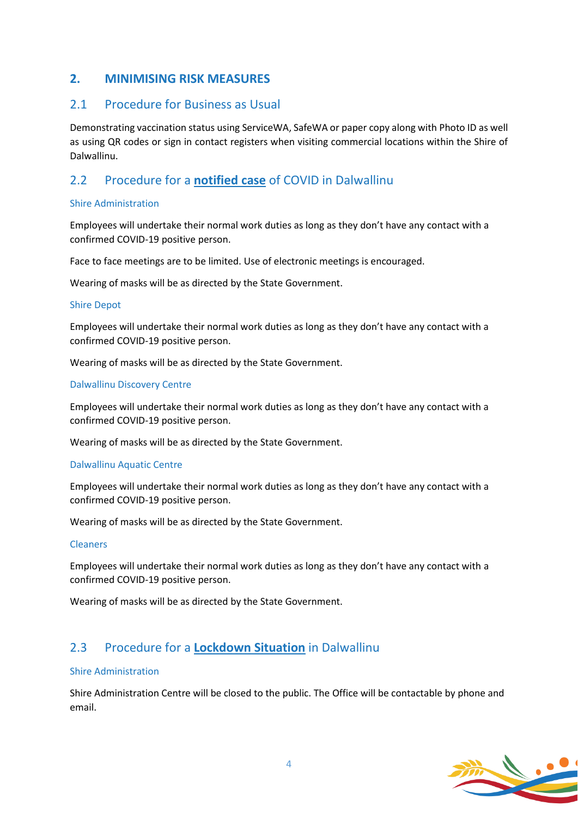# **2. MINIMISING RISK MEASURES**

# 2.1 Procedure for Business as Usual

Demonstrating vaccination status using ServiceWA, SafeWA or paper copy along with Photo ID as well as using QR codes or sign in contact registers when visiting commercial locations within the Shire of Dalwallinu.

# 2.2 Procedure for a **notified case** of COVID in Dalwallinu

#### Shire Administration

Employees will undertake their normal work duties as long as they don't have any contact with a confirmed COVID-19 positive person.

Face to face meetings are to be limited. Use of electronic meetings is encouraged.

Wearing of masks will be as directed by the State Government.

#### Shire Depot

Employees will undertake their normal work duties as long as they don't have any contact with a confirmed COVID-19 positive person.

Wearing of masks will be as directed by the State Government.

#### Dalwallinu Discovery Centre

Employees will undertake their normal work duties as long as they don't have any contact with a confirmed COVID-19 positive person.

Wearing of masks will be as directed by the State Government.

#### Dalwallinu Aquatic Centre

Employees will undertake their normal work duties as long as they don't have any contact with a confirmed COVID-19 positive person.

Wearing of masks will be as directed by the State Government.

#### Cleaners

Employees will undertake their normal work duties as long as they don't have any contact with a confirmed COVID-19 positive person.

Wearing of masks will be as directed by the State Government.

# 2.3 Procedure for a **Lockdown Situation** in Dalwallinu

#### Shire Administration

Shire Administration Centre will be closed to the public. The Office will be contactable by phone and email.

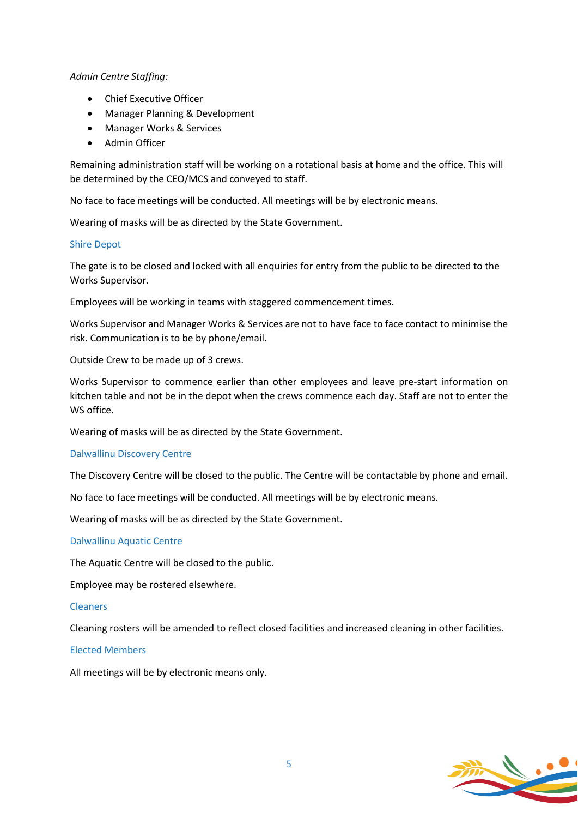#### *Admin Centre Staffing:*

- Chief Executive Officer
- Manager Planning & Development
- Manager Works & Services
- Admin Officer

Remaining administration staff will be working on a rotational basis at home and the office. This will be determined by the CEO/MCS and conveyed to staff.

No face to face meetings will be conducted. All meetings will be by electronic means.

Wearing of masks will be as directed by the State Government.

#### Shire Depot

The gate is to be closed and locked with all enquiries for entry from the public to be directed to the Works Supervisor.

Employees will be working in teams with staggered commencement times.

Works Supervisor and Manager Works & Services are not to have face to face contact to minimise the risk. Communication is to be by phone/email.

Outside Crew to be made up of 3 crews.

Works Supervisor to commence earlier than other employees and leave pre-start information on kitchen table and not be in the depot when the crews commence each day. Staff are not to enter the WS office.

Wearing of masks will be as directed by the State Government.

#### Dalwallinu Discovery Centre

The Discovery Centre will be closed to the public. The Centre will be contactable by phone and email.

No face to face meetings will be conducted. All meetings will be by electronic means.

Wearing of masks will be as directed by the State Government.

#### Dalwallinu Aquatic Centre

The Aquatic Centre will be closed to the public.

Employee may be rostered elsewhere.

#### Cleaners

Cleaning rosters will be amended to reflect closed facilities and increased cleaning in other facilities.

#### Elected Members

All meetings will be by electronic means only.

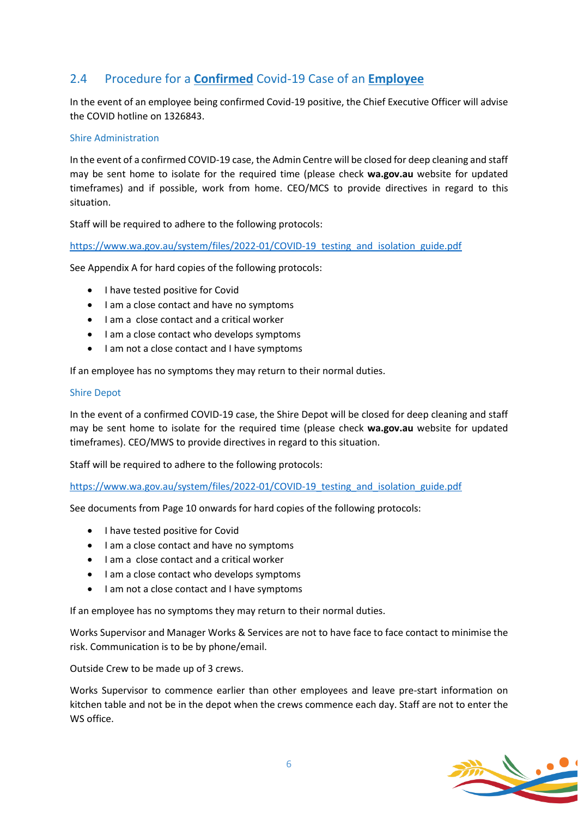# 2.4 Procedure for a **Confirmed** Covid-19 Case of an **Employee**

In the event of an employee being confirmed Covid-19 positive, the Chief Executive Officer will advise the COVID hotline on 1326843.

#### Shire Administration

In the event of a confirmed COVID-19 case, the Admin Centre will be closed for deep cleaning and staff may be sent home to isolate for the required time (please check **wa.gov.au** website for updated timeframes) and if possible, work from home. CEO/MCS to provide directives in regard to this situation.

Staff will be required to adhere to the following protocols:

[https://www.wa.gov.au/system/files/2022-01/COVID-19\\_testing\\_and\\_isolation\\_guide.pdf](https://www.wa.gov.au/system/files/2022-01/COVID-19_testing_and_isolation_guide.pdf)

See Appendix A for hard copies of the following protocols:

- I have tested positive for Covid
- I am a close contact and have no symptoms
- I am a close contact and a critical worker
- I am a close contact who develops symptoms
- I am not a close contact and I have symptoms

If an employee has no symptoms they may return to their normal duties.

#### Shire Depot

In the event of a confirmed COVID-19 case, the Shire Depot will be closed for deep cleaning and staff may be sent home to isolate for the required time (please check **wa.gov.au** website for updated timeframes). CEO/MWS to provide directives in regard to this situation.

Staff will be required to adhere to the following protocols:

[https://www.wa.gov.au/system/files/2022-01/COVID-19\\_testing\\_and\\_isolation\\_guide.pdf](https://www.wa.gov.au/system/files/2022-01/COVID-19_testing_and_isolation_guide.pdf)

See documents from Page 10 onwards for hard copies of the following protocols:

- I have tested positive for Covid
- I am a close contact and have no symptoms
- I am a close contact and a critical worker
- I am a close contact who develops symptoms
- I am not a close contact and I have symptoms

If an employee has no symptoms they may return to their normal duties.

Works Supervisor and Manager Works & Services are not to have face to face contact to minimise the risk. Communication is to be by phone/email.

Outside Crew to be made up of 3 crews.

Works Supervisor to commence earlier than other employees and leave pre-start information on kitchen table and not be in the depot when the crews commence each day. Staff are not to enter the WS office.

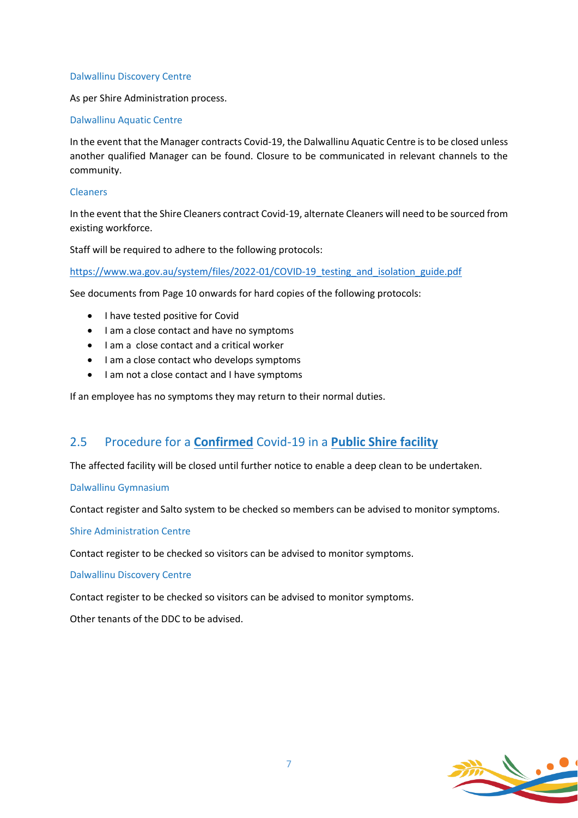#### Dalwallinu Discovery Centre

As per Shire Administration process.

#### Dalwallinu Aquatic Centre

In the event that the Manager contracts Covid-19, the Dalwallinu Aquatic Centre is to be closed unless another qualified Manager can be found. Closure to be communicated in relevant channels to the community.

#### Cleaners

In the event that the Shire Cleaners contract Covid-19, alternate Cleaners will need to be sourced from existing workforce.

Staff will be required to adhere to the following protocols:

[https://www.wa.gov.au/system/files/2022-01/COVID-19\\_testing\\_and\\_isolation\\_guide.pdf](https://www.wa.gov.au/system/files/2022-01/COVID-19_testing_and_isolation_guide.pdf)

See documents from Page 10 onwards for hard copies of the following protocols:

- I have tested positive for Covid
- I am a close contact and have no symptoms
- I am a close contact and a critical worker
- I am a close contact who develops symptoms
- I am not a close contact and I have symptoms

If an employee has no symptoms they may return to their normal duties.

# 2.5 Procedure for a **Confirmed** Covid-19 in a **Public Shire facility**

The affected facility will be closed until further notice to enable a deep clean to be undertaken.

#### Dalwallinu Gymnasium

Contact register and Salto system to be checked so members can be advised to monitor symptoms.

Shire Administration Centre

Contact register to be checked so visitors can be advised to monitor symptoms.

Dalwallinu Discovery Centre

Contact register to be checked so visitors can be advised to monitor symptoms.

Other tenants of the DDC to be advised.

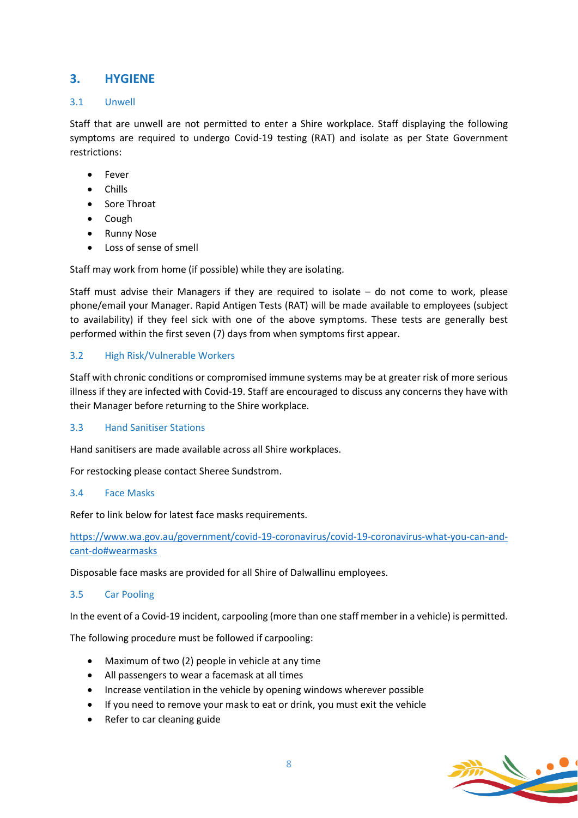# **3. HYGIENE**

#### 3.1 Unwell

Staff that are unwell are not permitted to enter a Shire workplace. Staff displaying the following symptoms are required to undergo Covid-19 testing (RAT) and isolate as per State Government restrictions:

- Fever
- Chills
- Sore Throat
- Cough
- Runny Nose
- Loss of sense of smell

Staff may work from home (if possible) while they are isolating.

Staff must advise their Managers if they are required to isolate – do not come to work, please phone/email your Manager. Rapid Antigen Tests (RAT) will be made available to employees (subject to availability) if they feel sick with one of the above symptoms. These tests are generally best performed within the first seven (7) days from when symptoms first appear.

#### 3.2 High Risk/Vulnerable Workers

Staff with chronic conditions or compromised immune systems may be at greater risk of more serious illness if they are infected with Covid-19. Staff are encouraged to discuss any concerns they have with their Manager before returning to the Shire workplace.

#### 3.3 Hand Sanitiser Stations

Hand sanitisers are made available across all Shire workplaces.

For restocking please contact Sheree Sundstrom.

#### 3.4 Face Masks

Refer to link below for latest face masks requirements.

[https://www.wa.gov.au/government/covid-19-coronavirus/covid-19-coronavirus-what-you-can-and](https://www.wa.gov.au/government/covid-19-coronavirus/covid-19-coronavirus-what-you-can-and-cant-do#wearmasks)[cant-do#wearmasks](https://www.wa.gov.au/government/covid-19-coronavirus/covid-19-coronavirus-what-you-can-and-cant-do#wearmasks)

Disposable face masks are provided for all Shire of Dalwallinu employees.

#### 3.5 Car Pooling

In the event of a Covid-19 incident, carpooling (more than one staff member in a vehicle) is permitted.

The following procedure must be followed if carpooling:

- Maximum of two (2) people in vehicle at any time
- All passengers to wear a facemask at all times
- Increase ventilation in the vehicle by opening windows wherever possible
- If you need to remove your mask to eat or drink, you must exit the vehicle
- Refer to car cleaning guide